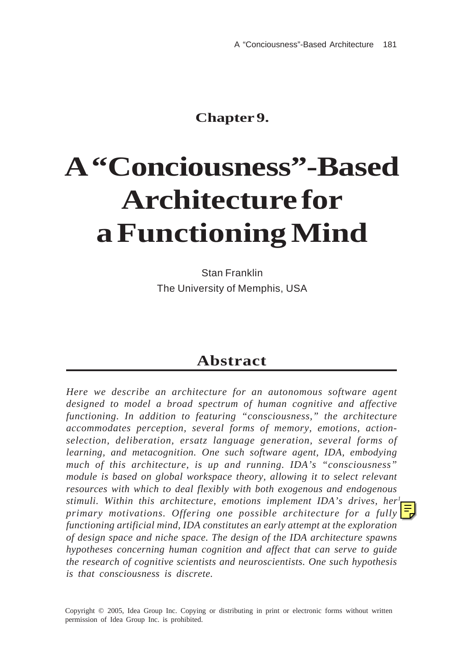#### **Chapter 9.**

# **A "Conciousness"-Based Architecture for a Functioning Mind**

Stan Franklin The University of Memphis, USA

# **Abstract**

*Here we describe an architecture for an autonomous software agent designed to model a broad spectrum of human cognitive and affective functioning. In addition to featuring "consciousness," the architecture accommodates perception, several forms of memory, emotions, actionselection, deliberation, ersatz language generation, several forms of learning, and metacognition. One such software agent, IDA, embodying much of this architecture, is up and running. IDA's "consciousness" module is based on global workspace theory, allowing it to select relevant resources with which to deal flexibly with both exogenous and endogenous stimuli. Within this architecture, emotions implement IDA's drives, her<sup>1</sup><sub>r</sub> primary motivations. Offering one possible architecture for a fully functioning artificial mind, IDA constitutes an early attempt at the exploration of design space and niche space. The design of the IDA architecture spawns hypotheses concerning human cognition and affect that can serve to guide the research of cognitive scientists and neuroscientists. One such hypothesis is that consciousness is discrete.*

Copyright © 2005, Idea Group Inc. Copying or distributing in print or electronic forms without written permission of Idea Group Inc. is prohibited.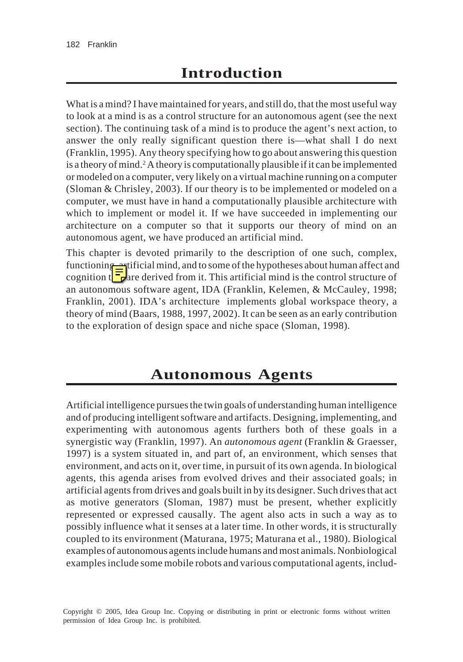What is a mind? I have maintained for years, and still do, that the most useful way to look at a mind is as a control structure for an autonomous agent (see the next section). The continuing task of a mind is to produce the agent's next action, to answer the only really significant question there is—what shall I do next (Franklin, 1995). Any theory specifying how to go about answering this question is a theory of mind.<sup>2</sup> A theory is computationally plausible if it can be implemented or modeled on a computer, very likely on a virtual machine running on a computer (Sloman & Chrisley, 2003). If our theory is to be implemented or modeled on a computer, we must have in hand a computationally plausible architecture with which to implement or model it. If we have succeeded in implementing our architecture on a computer so that it supports our theory of mind on an autonomous agent, we have produced an artificial mind.

This chapter is devoted primarily to the description of one such, complex, functioning-rificial mind, and to some of the hypotheses about human affect and cognition  $t\bar{z}$  are derived from it. This artificial mind is the control structure of an autonomous software agent, IDA (Franklin, Kelemen, & McCauley, 1998; Franklin, 2001). IDA's architecture implements global workspace theory, a theory of mind (Baars, 1988, 1997, 2002). It can be seen as an early contribution to the exploration of design space and niche space (Sloman, 1998).

# **Autonomous Agents**

Artificial intelligence pursues the twin goals of understanding human intelligence and of producing intelligent software and artifacts. Designing, implementing, and experimenting with autonomous agents furthers both of these goals in a synergistic way (Franklin, 1997). An *autonomous agent* (Franklin & Graesser, 1997) is a system situated in, and part of, an environment, which senses that environment, and acts on it, over time, in pursuit of its own agenda. In biological agents, this agenda arises from evolved drives and their associated goals; in artificial agents from drives and goals built in by its designer. Such drives that act as motive generators (Sloman, 1987) must be present, whether explicitly represented or expressed causally. The agent also acts in such a way as to possibly influence what it senses at a later time. In other words, it is structurally coupled to its environment (Maturana, 1975; Maturana et al., 1980). Biological examples of autonomous agents include humans and most animals. Nonbiological examples include some mobile robots and various computational agents, includ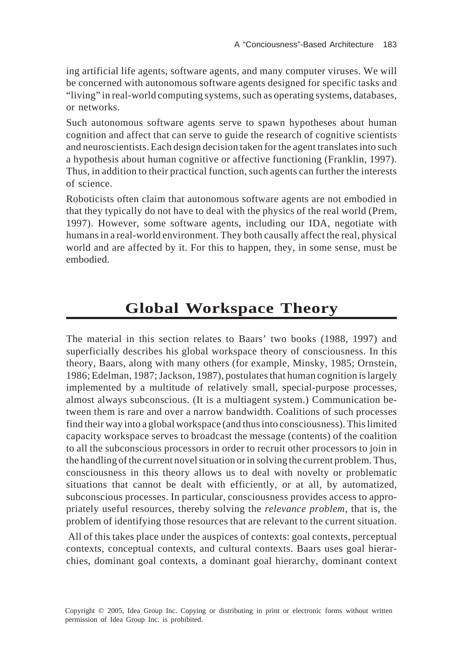ing artificial life agents, software agents, and many computer viruses. We will be concerned with autonomous software agents designed for specific tasks and "living" in real-world computing systems, such as operating systems, databases, or networks.

Such autonomous software agents serve to spawn hypotheses about human cognition and affect that can serve to guide the research of cognitive scientists and neuroscientists. Each design decision taken for the agent translates into such a hypothesis about human cognitive or affective functioning (Franklin, 1997). Thus, in addition to their practical function, such agents can further the interests of science.

Roboticists often claim that autonomous software agents are not embodied in that they typically do not have to deal with the physics of the real world (Prem, 1997). However, some software agents, including our IDA, negotiate with humans in a real-world environment. They both causally affect the real, physical world and are affected by it. For this to happen, they, in some sense, must be embodied.

## **Global Workspace Theory**

The material in this section relates to Baars' two books (1988, 1997) and superficially describes his global workspace theory of consciousness. In this theory, Baars, along with many others (for example, Minsky, 1985; Ornstein, 1986; Edelman, 1987; Jackson, 1987), postulates that human cognition is largely implemented by a multitude of relatively small, special-purpose processes, almost always subconscious. (It is a multiagent system.) Communication between them is rare and over a narrow bandwidth. Coalitions of such processes find their way into a global workspace (and thus into consciousness). This limited capacity workspace serves to broadcast the message (contents) of the coalition to all the subconscious processors in order to recruit other processors to join in the handling of the current novel situation or in solving the current problem. Thus, consciousness in this theory allows us to deal with novelty or problematic situations that cannot be dealt with efficiently, or at all, by automatized, subconscious processes. In particular, consciousness provides access to appropriately useful resources, thereby solving the *relevance problem*, that is, the problem of identifying those resources that are relevant to the current situation.

 All of this takes place under the auspices of contexts: goal contexts, perceptual contexts, conceptual contexts, and cultural contexts. Baars uses goal hierarchies, dominant goal contexts, a dominant goal hierarchy, dominant context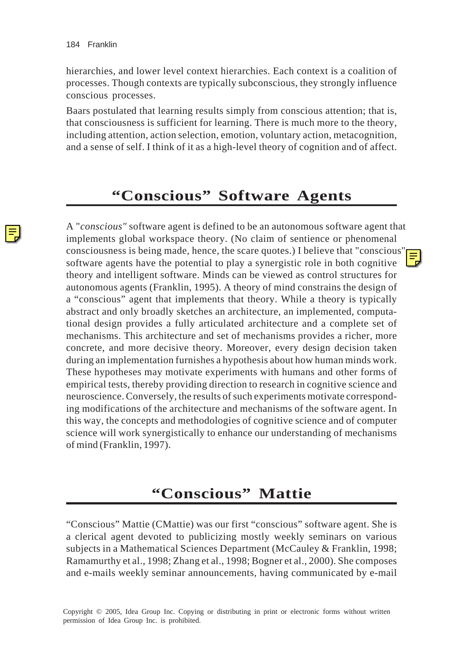hierarchies, and lower level context hierarchies. Each context is a coalition of processes. Though contexts are typically subconscious, they strongly influence conscious processes.

Baars postulated that learning results simply from conscious attention; that is, that consciousness is sufficient for learning. There is much more to the theory, including attention, action selection, emotion, voluntary action, metacognition, and a sense of self. I think of it as a high-level theory of cognition and of affect.

## **"Conscious" Software Agents**

A "*conscious"* software agent is defined to be an autonomous software agent that implements global workspace theory. (No claim of sentience or phenomenal consciousness is being made, hence, the scare quotes.) I believe that "conscious" software agents have the potential to play a synergistic role in both cognitive theory and intelligent software. Minds can be viewed as control structures for autonomous agents (Franklin, 1995). A theory of mind constrains the design of a "conscious" agent that implements that theory. While a theory is typically abstract and only broadly sketches an architecture, an implemented, computational design provides a fully articulated architecture and a complete set of mechanisms. This architecture and set of mechanisms provides a richer, more concrete, and more decisive theory. Moreover, every design decision taken during an implementation furnishes a hypothesis about how human minds work. These hypotheses may motivate experiments with humans and other forms of empirical tests, thereby providing direction to research in cognitive science and neuroscience. Conversely, the results of such experiments motivate corresponding modifications of the architecture and mechanisms of the software agent. In this way, the concepts and methodologies of cognitive science and of computer science will work synergistically to enhance our understanding of mechanisms of mind (Franklin, 1997).

# **"Conscious" Mattie**

"Conscious" Mattie (CMattie) was our first "conscious" software agent. She is a clerical agent devoted to publicizing mostly weekly seminars on various subjects in a Mathematical Sciences Department (McCauley & Franklin, 1998; Ramamurthy et al., 1998; Zhang et al., 1998; Bogner et al., 2000). She composes and e-mails weekly seminar announcements, having communicated by e-mail

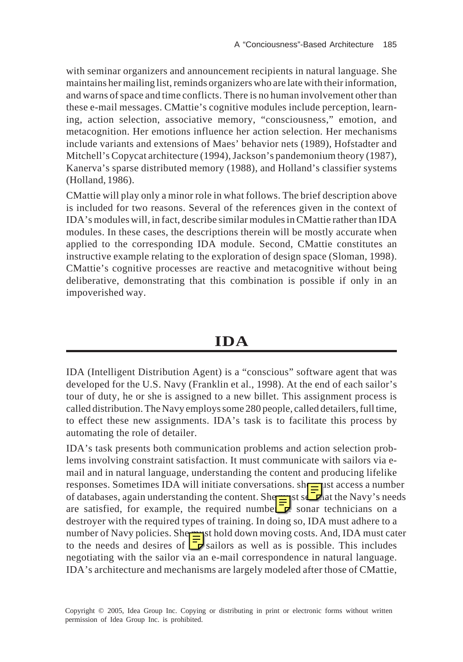with seminar organizers and announcement recipients in natural language. She maintains her mailing list, reminds organizers who are late with their information, and warns of space and time conflicts. There is no human involvement other than these e-mail messages. CMattie's cognitive modules include perception, learning, action selection, associative memory, "consciousness," emotion, and metacognition. Her emotions influence her action selection. Her mechanisms include variants and extensions of Maes' behavior nets (1989), Hofstadter and Mitchell's Copycat architecture (1994), Jackson's pandemonium theory (1987), Kanerva's sparse distributed memory (1988), and Holland's classifier systems (Holland, 1986).

CMattie will play only a minor role in what follows. The brief description above is included for two reasons. Several of the references given in the context of IDA's modules will, in fact, describe similar modules in CMattie rather than IDA modules. In these cases, the descriptions therein will be mostly accurate when applied to the corresponding IDA module. Second, CMattie constitutes an instructive example relating to the exploration of design space (Sloman, 1998). CMattie's cognitive processes are reactive and metacognitive without being deliberative, demonstrating that this combination is possible if only in an impoverished way.

## **IDA**

IDA (Intelligent Distribution Agent) is a "conscious" software agent that was developed for the U.S. Navy (Franklin et al., 1998). At the end of each sailor's tour of duty, he or she is assigned to a new billet. This assignment process is called distribution. The Navy employs some 280 people, called detailers, full time, to effect these new assignments. IDA's task is to facilitate this process by automating the role of detailer.

IDA's task presents both communication problems and action selection problems involving constraint satisfaction. It must communicate with sailors via email and in natural language, understanding the content and producing lifelike responses. Sometimes IDA will initiate conversations.  $sh_{\square}$ ust access a number of databases, again understanding the content. She seeks that the Navy's needs are satisfied, for example, the required number  $\mathbb{Z}$  sonar technicians on a destroyer with the required types of training. In doing so, IDA must adhere to a number of Navy policies. Shermalst hold down moving costs. And, IDA must cater to the needs and desires of  $\Box$  sailors as well as is possible. This includes negotiating with the sailor via an e-mail correspondence in natural language. IDA's architecture and mechanisms are largely modeled after those of CMattie,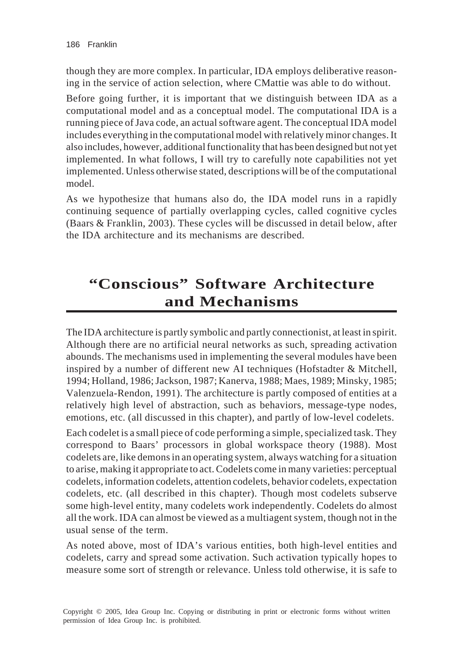though they are more complex. In particular, IDA employs deliberative reasoning in the service of action selection, where CMattie was able to do without.

Before going further, it is important that we distinguish between IDA as a computational model and as a conceptual model. The computational IDA is a running piece of Java code, an actual software agent. The conceptual IDA model includes everything in the computational model with relatively minor changes. It also includes, however, additional functionality that has been designed but not yet implemented. In what follows, I will try to carefully note capabilities not yet implemented. Unless otherwise stated, descriptions will be of the computational model.

As we hypothesize that humans also do, the IDA model runs in a rapidly continuing sequence of partially overlapping cycles, called cognitive cycles (Baars & Franklin, 2003). These cycles will be discussed in detail below, after the IDA architecture and its mechanisms are described.

# **"Conscious" Software Architecture and Mechanisms**

The IDA architecture is partly symbolic and partly connectionist, at least in spirit. Although there are no artificial neural networks as such, spreading activation abounds. The mechanisms used in implementing the several modules have been inspired by a number of different new AI techniques (Hofstadter & Mitchell, 1994; Holland, 1986; Jackson, 1987; Kanerva, 1988; Maes, 1989; Minsky, 1985; Valenzuela-Rendon, 1991). The architecture is partly composed of entities at a relatively high level of abstraction, such as behaviors, message-type nodes, emotions, etc. (all discussed in this chapter), and partly of low-level codelets.

Each codelet is a small piece of code performing a simple, specialized task. They correspond to Baars' processors in global workspace theory (1988). Most codelets are, like demons in an operating system, always watching for a situation to arise, making it appropriate to act. Codelets come in many varieties: perceptual codelets, information codelets, attention codelets, behavior codelets, expectation codelets, etc. (all described in this chapter). Though most codelets subserve some high-level entity, many codelets work independently. Codelets do almost all the work. IDA can almost be viewed as a multiagent system, though not in the usual sense of the term.

As noted above, most of IDA's various entities, both high-level entities and codelets, carry and spread some activation. Such activation typically hopes to measure some sort of strength or relevance. Unless told otherwise, it is safe to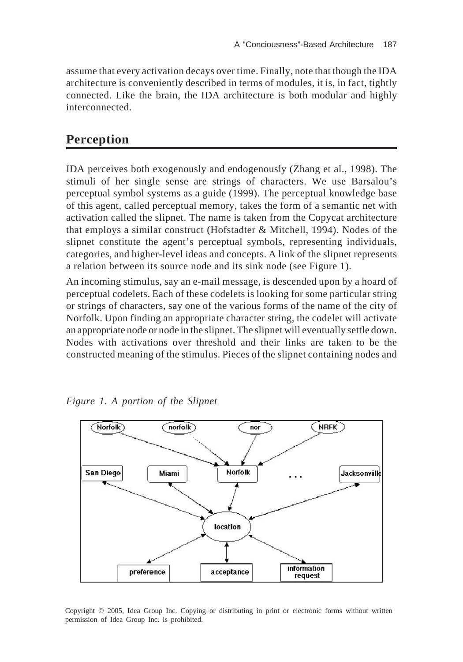assume that every activation decays over time. Finally, note that though the IDA architecture is conveniently described in terms of modules, it is, in fact, tightly connected. Like the brain, the IDA architecture is both modular and highly interconnected.

#### **Perception**

IDA perceives both exogenously and endogenously (Zhang et al., 1998). The stimuli of her single sense are strings of characters. We use Barsalou's perceptual symbol systems as a guide (1999). The perceptual knowledge base of this agent, called perceptual memory, takes the form of a semantic net with activation called the slipnet. The name is taken from the Copycat architecture that employs a similar construct (Hofstadter & Mitchell, 1994). Nodes of the slipnet constitute the agent's perceptual symbols, representing individuals, categories, and higher-level ideas and concepts. A link of the slipnet represents a relation between its source node and its sink node (see Figure 1).

An incoming stimulus, say an e-mail message, is descended upon by a hoard of perceptual codelets. Each of these codelets is looking for some particular string or strings of characters, say one of the various forms of the name of the city of Norfolk. Upon finding an appropriate character string, the codelet will activate an appropriate node or node in the slipnet. The slipnet will eventually settle down. Nodes with activations over threshold and their links are taken to be the constructed meaning of the stimulus. Pieces of the slipnet containing nodes and



*Figure 1. A portion of the Slipnet*

Copyright © 2005, Idea Group Inc. Copying or distributing in print or electronic forms without written permission of Idea Group Inc. is prohibited.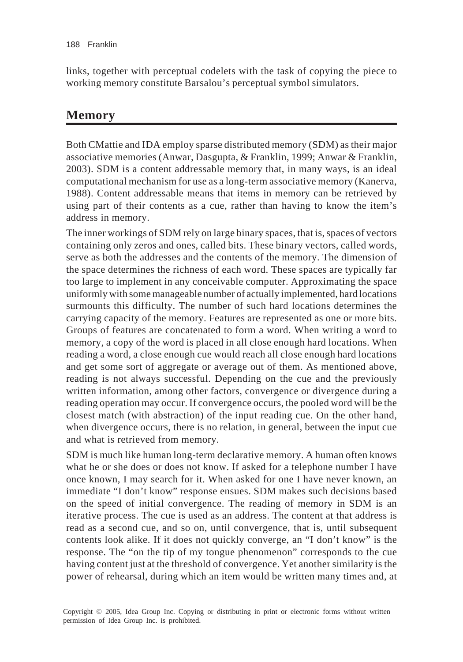links, together with perceptual codelets with the task of copying the piece to working memory constitute Barsalou's perceptual symbol simulators.

#### **Memory**

Both CMattie and IDA employ sparse distributed memory (SDM) as their major associative memories (Anwar, Dasgupta, & Franklin, 1999; Anwar & Franklin, 2003). SDM is a content addressable memory that, in many ways, is an ideal computational mechanism for use as a long-term associative memory (Kanerva, 1988). Content addressable means that items in memory can be retrieved by using part of their contents as a cue, rather than having to know the item's address in memory.

The inner workings of SDM rely on large binary spaces, that is, spaces of vectors containing only zeros and ones, called bits. These binary vectors, called words, serve as both the addresses and the contents of the memory. The dimension of the space determines the richness of each word. These spaces are typically far too large to implement in any conceivable computer. Approximating the space uniformly with some manageable number of actually implemented, hard locations surmounts this difficulty. The number of such hard locations determines the carrying capacity of the memory. Features are represented as one or more bits. Groups of features are concatenated to form a word. When writing a word to memory, a copy of the word is placed in all close enough hard locations. When reading a word, a close enough cue would reach all close enough hard locations and get some sort of aggregate or average out of them. As mentioned above, reading is not always successful. Depending on the cue and the previously written information, among other factors, convergence or divergence during a reading operation may occur. If convergence occurs, the pooled word will be the closest match (with abstraction) of the input reading cue. On the other hand, when divergence occurs, there is no relation, in general, between the input cue and what is retrieved from memory.

SDM is much like human long-term declarative memory. A human often knows what he or she does or does not know. If asked for a telephone number I have once known, I may search for it. When asked for one I have never known, an immediate "I don't know" response ensues. SDM makes such decisions based on the speed of initial convergence. The reading of memory in SDM is an iterative process. The cue is used as an address. The content at that address is read as a second cue, and so on, until convergence, that is, until subsequent contents look alike. If it does not quickly converge, an "I don't know" is the response. The "on the tip of my tongue phenomenon" corresponds to the cue having content just at the threshold of convergence. Yet another similarity is the power of rehearsal, during which an item would be written many times and, at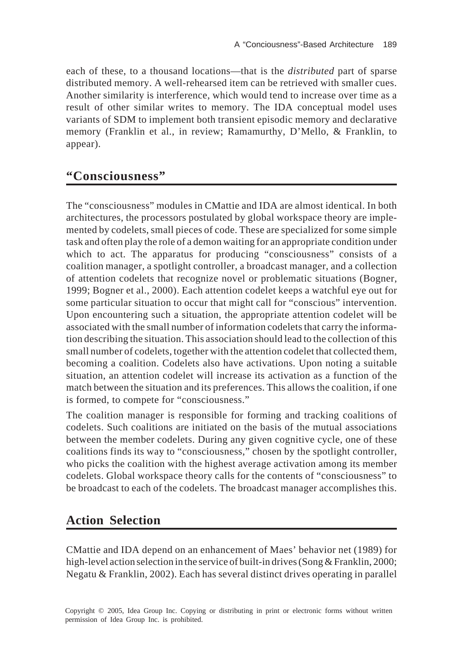each of these, to a thousand locations—that is the *distributed* part of sparse distributed memory. A well-rehearsed item can be retrieved with smaller cues. Another similarity is interference, which would tend to increase over time as a result of other similar writes to memory. The IDA conceptual model uses variants of SDM to implement both transient episodic memory and declarative memory (Franklin et al., in review; Ramamurthy, D'Mello, & Franklin, to appear).

#### **"Consciousness"**

The "consciousness" modules in CMattie and IDA are almost identical. In both architectures, the processors postulated by global workspace theory are implemented by codelets, small pieces of code. These are specialized for some simple task and often play the role of a demon waiting for an appropriate condition under which to act. The apparatus for producing "consciousness" consists of a coalition manager, a spotlight controller, a broadcast manager, and a collection of attention codelets that recognize novel or problematic situations (Bogner, 1999; Bogner et al., 2000). Each attention codelet keeps a watchful eye out for some particular situation to occur that might call for "conscious" intervention. Upon encountering such a situation, the appropriate attention codelet will be associated with the small number of information codelets that carry the information describing the situation. This association should lead to the collection of this small number of codelets, together with the attention codelet that collected them, becoming a coalition. Codelets also have activations. Upon noting a suitable situation, an attention codelet will increase its activation as a function of the match between the situation and its preferences. This allows the coalition, if one is formed, to compete for "consciousness."

The coalition manager is responsible for forming and tracking coalitions of codelets. Such coalitions are initiated on the basis of the mutual associations between the member codelets. During any given cognitive cycle, one of these coalitions finds its way to "consciousness," chosen by the spotlight controller, who picks the coalition with the highest average activation among its member codelets. Global workspace theory calls for the contents of "consciousness" to be broadcast to each of the codelets. The broadcast manager accomplishes this.

#### **Action Selection**

CMattie and IDA depend on an enhancement of Maes' behavior net (1989) for high-level action selection in the service of built-in drives (Song & Franklin, 2000; Negatu & Franklin, 2002). Each has several distinct drives operating in parallel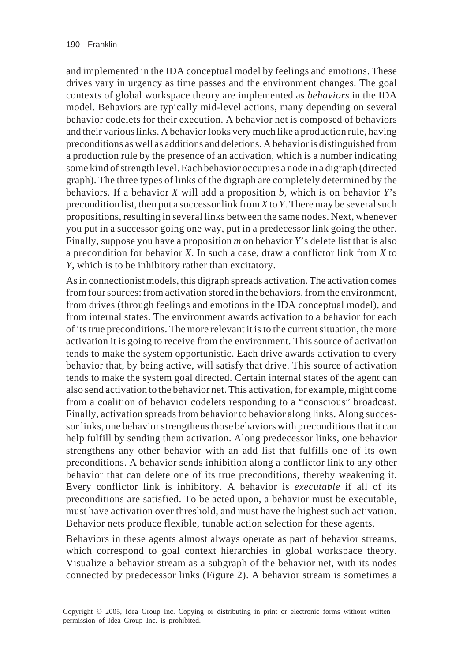and implemented in the IDA conceptual model by feelings and emotions. These drives vary in urgency as time passes and the environment changes. The goal contexts of global workspace theory are implemented as *behaviors* in the IDA model. Behaviors are typically mid-level actions, many depending on several behavior codelets for their execution. A behavior net is composed of behaviors and their various links. A behavior looks very much like a production rule, having preconditions as well as additions and deletions. A behavior is distinguished from a production rule by the presence of an activation, which is a number indicating some kind of strength level. Each behavior occupies a node in a digraph (directed graph). The three types of links of the digraph are completely determined by the behaviors. If a behavior *X* will add a proposition *b*, which is on behavior *Y*'s precondition list, then put a successor link from *X* to *Y*. There may be several such propositions, resulting in several links between the same nodes. Next, whenever you put in a successor going one way, put in a predecessor link going the other. Finally, suppose you have a proposition *m* on behavior *Y*'s delete list that is also a precondition for behavior *X*. In such a case, draw a conflictor link from *X* to *Y*, which is to be inhibitory rather than excitatory.

As in connectionist models, this digraph spreads activation. The activation comes from four sources: from activation stored in the behaviors, from the environment, from drives (through feelings and emotions in the IDA conceptual model), and from internal states. The environment awards activation to a behavior for each of its true preconditions. The more relevant it is to the current situation, the more activation it is going to receive from the environment. This source of activation tends to make the system opportunistic. Each drive awards activation to every behavior that, by being active, will satisfy that drive. This source of activation tends to make the system goal directed. Certain internal states of the agent can also send activation to the behavior net. This activation, for example, might come from a coalition of behavior codelets responding to a "conscious" broadcast. Finally, activation spreads from behavior to behavior along links. Along successor links, one behavior strengthens those behaviors with preconditions that it can help fulfill by sending them activation. Along predecessor links, one behavior strengthens any other behavior with an add list that fulfills one of its own preconditions. A behavior sends inhibition along a conflictor link to any other behavior that can delete one of its true preconditions, thereby weakening it. Every conflictor link is inhibitory. A behavior is *executable* if all of its preconditions are satisfied. To be acted upon, a behavior must be executable, must have activation over threshold, and must have the highest such activation. Behavior nets produce flexible, tunable action selection for these agents.

Behaviors in these agents almost always operate as part of behavior streams, which correspond to goal context hierarchies in global workspace theory. Visualize a behavior stream as a subgraph of the behavior net, with its nodes connected by predecessor links (Figure 2). A behavior stream is sometimes a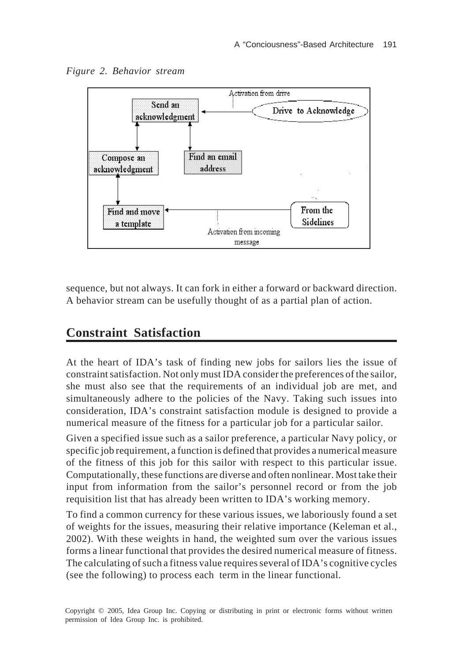*Figure 2. Behavior stream*



sequence, but not always. It can fork in either a forward or backward direction. A behavior stream can be usefully thought of as a partial plan of action.

#### **Constraint Satisfaction**

At the heart of IDA's task of finding new jobs for sailors lies the issue of constraint satisfaction. Not only must IDA consider the preferences of the sailor, she must also see that the requirements of an individual job are met, and simultaneously adhere to the policies of the Navy. Taking such issues into consideration, IDA's constraint satisfaction module is designed to provide a numerical measure of the fitness for a particular job for a particular sailor.

Given a specified issue such as a sailor preference, a particular Navy policy, or specific job requirement, a function is defined that provides a numerical measure of the fitness of this job for this sailor with respect to this particular issue. Computationally, these functions are diverse and often nonlinear. Most take their input from information from the sailor's personnel record or from the job requisition list that has already been written to IDA's working memory.

To find a common currency for these various issues, we laboriously found a set of weights for the issues, measuring their relative importance (Keleman et al., 2002). With these weights in hand, the weighted sum over the various issues forms a linear functional that provides the desired numerical measure of fitness. The calculating of such a fitness value requires several of IDA's cognitive cycles (see the following) to process each term in the linear functional.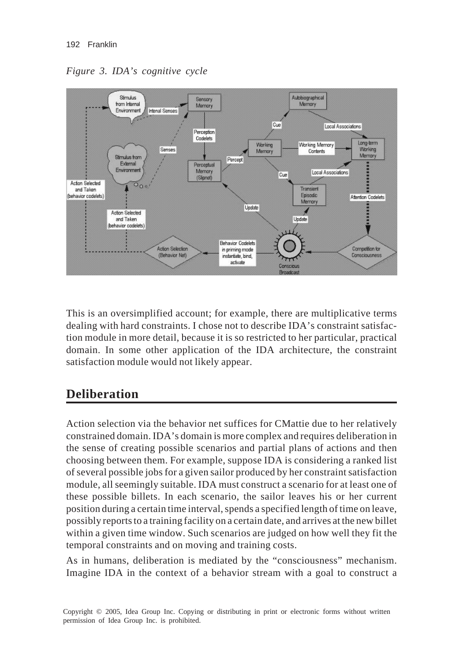

*Figure 3. IDA's cognitive cycle*

This is an oversimplified account; for example, there are multiplicative terms dealing with hard constraints. I chose not to describe IDA's constraint satisfaction module in more detail, because it is so restricted to her particular, practical domain. In some other application of the IDA architecture, the constraint satisfaction module would not likely appear.

## **Deliberation**

Action selection via the behavior net suffices for CMattie due to her relatively constrained domain. IDA's domain is more complex and requires deliberation in the sense of creating possible scenarios and partial plans of actions and then choosing between them. For example, suppose IDA is considering a ranked list of several possible jobs for a given sailor produced by her constraint satisfaction module, all seemingly suitable. IDA must construct a scenario for at least one of these possible billets. In each scenario, the sailor leaves his or her current position during a certain time interval, spends a specified length of time on leave, possibly reports to a training facility on a certain date, and arrives at the new billet within a given time window. Such scenarios are judged on how well they fit the temporal constraints and on moving and training costs.

As in humans, deliberation is mediated by the "consciousness" mechanism. Imagine IDA in the context of a behavior stream with a goal to construct a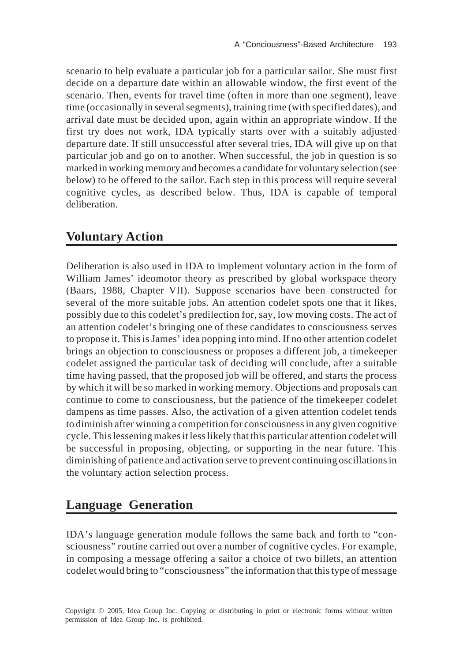scenario to help evaluate a particular job for a particular sailor. She must first decide on a departure date within an allowable window, the first event of the scenario. Then, events for travel time (often in more than one segment), leave time (occasionally in several segments), training time (with specified dates), and arrival date must be decided upon, again within an appropriate window. If the first try does not work, IDA typically starts over with a suitably adjusted departure date. If still unsuccessful after several tries, IDA will give up on that particular job and go on to another. When successful, the job in question is so marked in working memory and becomes a candidate for voluntary selection (see below) to be offered to the sailor. Each step in this process will require several cognitive cycles, as described below. Thus, IDA is capable of temporal deliberation.

#### **Voluntary Action**

Deliberation is also used in IDA to implement voluntary action in the form of William James' ideomotor theory as prescribed by global workspace theory (Baars, 1988, Chapter VII). Suppose scenarios have been constructed for several of the more suitable jobs. An attention codelet spots one that it likes, possibly due to this codelet's predilection for, say, low moving costs. The act of an attention codelet's bringing one of these candidates to consciousness serves to propose it. This is James' idea popping into mind. If no other attention codelet brings an objection to consciousness or proposes a different job, a timekeeper codelet assigned the particular task of deciding will conclude, after a suitable time having passed, that the proposed job will be offered, and starts the process by which it will be so marked in working memory. Objections and proposals can continue to come to consciousness, but the patience of the timekeeper codelet dampens as time passes. Also, the activation of a given attention codelet tends to diminish after winning a competition for consciousness in any given cognitive cycle. This lessening makes it less likely that this particular attention codelet will be successful in proposing, objecting, or supporting in the near future. This diminishing of patience and activation serve to prevent continuing oscillations in the voluntary action selection process.

## **Language Generation**

IDA's language generation module follows the same back and forth to "consciousness" routine carried out over a number of cognitive cycles. For example, in composing a message offering a sailor a choice of two billets, an attention codelet would bring to "consciousness" the information that this type of message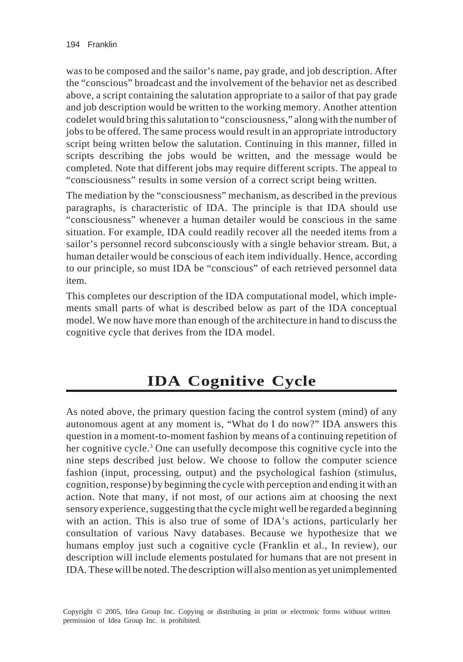was to be composed and the sailor's name, pay grade, and job description. After the "conscious" broadcast and the involvement of the behavior net as described above, a script containing the salutation appropriate to a sailor of that pay grade and job description would be written to the working memory. Another attention codelet would bring this salutation to "consciousness," along with the number of jobs to be offered. The same process would result in an appropriate introductory script being written below the salutation. Continuing in this manner, filled in scripts describing the jobs would be written, and the message would be completed. Note that different jobs may require different scripts. The appeal to "consciousness" results in some version of a correct script being written.

The mediation by the "consciousness" mechanism, as described in the previous paragraphs, is characteristic of IDA. The principle is that IDA should use "consciousness" whenever a human detailer would be conscious in the same situation. For example, IDA could readily recover all the needed items from a sailor's personnel record subconsciously with a single behavior stream. But, a human detailer would be conscious of each item individually. Hence, according to our principle, so must IDA be "conscious" of each retrieved personnel data item.

This completes our description of the IDA computational model, which implements small parts of what is described below as part of the IDA conceptual model. We now have more than enough of the architecture in hand to discuss the cognitive cycle that derives from the IDA model.

# **IDA Cognitive Cycle**

As noted above, the primary question facing the control system (mind) of any autonomous agent at any moment is, "What do I do now?" IDA answers this question in a moment-to-moment fashion by means of a continuing repetition of her cognitive cycle.<sup>3</sup> One can usefully decompose this cognitive cycle into the nine steps described just below. We choose to follow the computer science fashion (input, processing, output) and the psychological fashion (stimulus, cognition, response) by beginning the cycle with perception and ending it with an action. Note that many, if not most, of our actions aim at choosing the next sensory experience, suggesting that the cycle might well be regarded a beginning with an action. This is also true of some of IDA's actions, particularly her consultation of various Navy databases. Because we hypothesize that we humans employ just such a cognitive cycle (Franklin et al., In review), our description will include elements postulated for humans that are not present in IDA. These will be noted. The description will also mention as yet unimplemented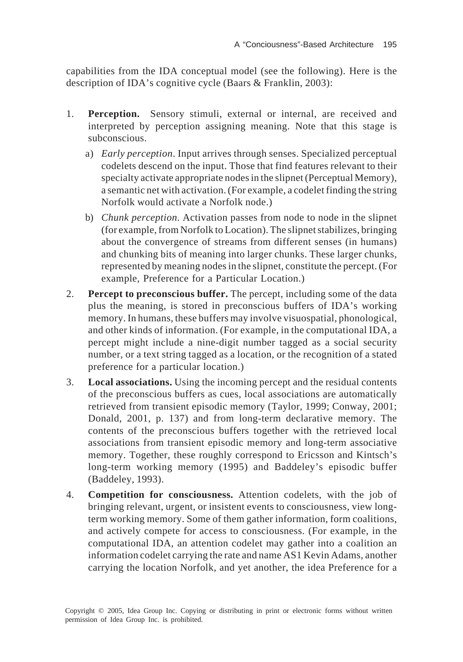capabilities from the IDA conceptual model (see the following). Here is the description of IDA's cognitive cycle (Baars & Franklin, 2003):

- 1. **Perception.** Sensory stimuli, external or internal, are received and interpreted by perception assigning meaning. Note that this stage is subconscious.
	- a) *Early perception*. Input arrives through senses. Specialized perceptual codelets descend on the input. Those that find features relevant to their specialty activate appropriate nodes in the slipnet (Perceptual Memory), a semantic net with activation. (For example, a codelet finding the string Norfolk would activate a Norfolk node.)
	- b) *Chunk perception*. Activation passes from node to node in the slipnet (for example, from Norfolk to Location). The slipnet stabilizes, bringing about the convergence of streams from different senses (in humans) and chunking bits of meaning into larger chunks. These larger chunks, represented by meaning nodes in the slipnet, constitute the percept. (For example, Preference for a Particular Location.)
- 2. **Percept to preconscious buffer.** The percept, including some of the data plus the meaning, is stored in preconscious buffers of IDA's working memory. In humans, these buffers may involve visuospatial, phonological, and other kinds of information. (For example, in the computational IDA, a percept might include a nine-digit number tagged as a social security number, or a text string tagged as a location, or the recognition of a stated preference for a particular location.)
- 3. **Local associations.** Using the incoming percept and the residual contents of the preconscious buffers as cues, local associations are automatically retrieved from transient episodic memory (Taylor, 1999; Conway, 2001; Donald, 2001, p. 137) and from long-term declarative memory. The contents of the preconscious buffers together with the retrieved local associations from transient episodic memory and long-term associative memory. Together, these roughly correspond to Ericsson and Kintsch's long-term working memory (1995) and Baddeley's episodic buffer (Baddeley, 1993).
- 4. **Competition for consciousness.** Attention codelets, with the job of bringing relevant, urgent, or insistent events to consciousness, view longterm working memory. Some of them gather information, form coalitions, and actively compete for access to consciousness. (For example, in the computational IDA, an attention codelet may gather into a coalition an information codelet carrying the rate and name AS1 Kevin Adams, another carrying the location Norfolk, and yet another, the idea Preference for a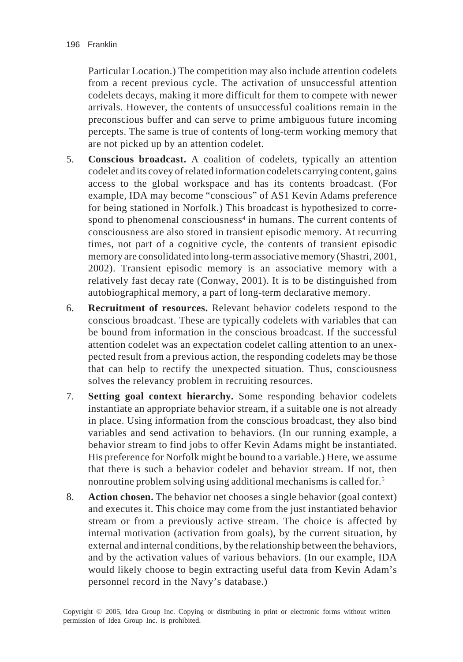Particular Location.) The competition may also include attention codelets from a recent previous cycle. The activation of unsuccessful attention codelets decays, making it more difficult for them to compete with newer arrivals. However, the contents of unsuccessful coalitions remain in the preconscious buffer and can serve to prime ambiguous future incoming percepts. The same is true of contents of long-term working memory that are not picked up by an attention codelet.

- 5. **Conscious broadcast.** A coalition of codelets, typically an attention codelet and its covey of related information codelets carrying content, gains access to the global workspace and has its contents broadcast. (For example, IDA may become "conscious" of AS1 Kevin Adams preference for being stationed in Norfolk.) This broadcast is hypothesized to correspond to phenomenal consciousness<sup>4</sup> in humans. The current contents of consciousness are also stored in transient episodic memory. At recurring times, not part of a cognitive cycle, the contents of transient episodic memory are consolidated into long-term associative memory (Shastri, 2001, 2002). Transient episodic memory is an associative memory with a relatively fast decay rate (Conway, 2001). It is to be distinguished from autobiographical memory, a part of long-term declarative memory.
- 6. **Recruitment of resources.** Relevant behavior codelets respond to the conscious broadcast. These are typically codelets with variables that can be bound from information in the conscious broadcast. If the successful attention codelet was an expectation codelet calling attention to an unexpected result from a previous action, the responding codelets may be those that can help to rectify the unexpected situation. Thus, consciousness solves the relevancy problem in recruiting resources.
- 7. **Setting goal context hierarchy.** Some responding behavior codelets instantiate an appropriate behavior stream, if a suitable one is not already in place. Using information from the conscious broadcast, they also bind variables and send activation to behaviors. (In our running example, a behavior stream to find jobs to offer Kevin Adams might be instantiated. His preference for Norfolk might be bound to a variable.) Here, we assume that there is such a behavior codelet and behavior stream. If not, then nonroutine problem solving using additional mechanisms is called for.<sup>5</sup>
- 8. **Action chosen.** The behavior net chooses a single behavior (goal context) and executes it. This choice may come from the just instantiated behavior stream or from a previously active stream. The choice is affected by internal motivation (activation from goals), by the current situation, by external and internal conditions, by the relationship between the behaviors, and by the activation values of various behaviors. (In our example, IDA would likely choose to begin extracting useful data from Kevin Adam's personnel record in the Navy's database.)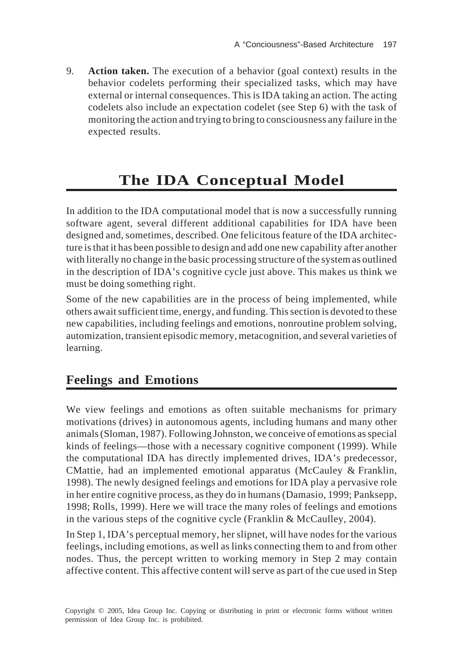9. **Action taken.** The execution of a behavior (goal context) results in the behavior codelets performing their specialized tasks, which may have external or internal consequences. This is IDA taking an action. The acting codelets also include an expectation codelet (see Step 6) with the task of monitoring the action and trying to bring to consciousness any failure in the expected results.

# **The IDA Conceptual Model**

In addition to the IDA computational model that is now a successfully running software agent, several different additional capabilities for IDA have been designed and, sometimes, described. One felicitous feature of the IDA architecture is that it has been possible to design and add one new capability after another with literally no change in the basic processing structure of the system as outlined in the description of IDA's cognitive cycle just above. This makes us think we must be doing something right.

Some of the new capabilities are in the process of being implemented, while others await sufficient time, energy, and funding. This section is devoted to these new capabilities, including feelings and emotions, nonroutine problem solving, automization, transient episodic memory, metacognition, and several varieties of learning.

#### **Feelings and Emotions**

We view feelings and emotions as often suitable mechanisms for primary motivations (drives) in autonomous agents, including humans and many other animals (Sloman, 1987). Following Johnston, we conceive of emotions as special kinds of feelings—those with a necessary cognitive component (1999). While the computational IDA has directly implemented drives, IDA's predecessor, CMattie, had an implemented emotional apparatus (McCauley & Franklin, 1998). The newly designed feelings and emotions for IDA play a pervasive role in her entire cognitive process, as they do in humans (Damasio, 1999; Panksepp, 1998; Rolls, 1999). Here we will trace the many roles of feelings and emotions in the various steps of the cognitive cycle (Franklin & McCaulley, 2004).

In Step 1, IDA's perceptual memory, her slipnet, will have nodes for the various feelings, including emotions, as well as links connecting them to and from other nodes. Thus, the percept written to working memory in Step 2 may contain affective content. This affective content will serve as part of the cue used in Step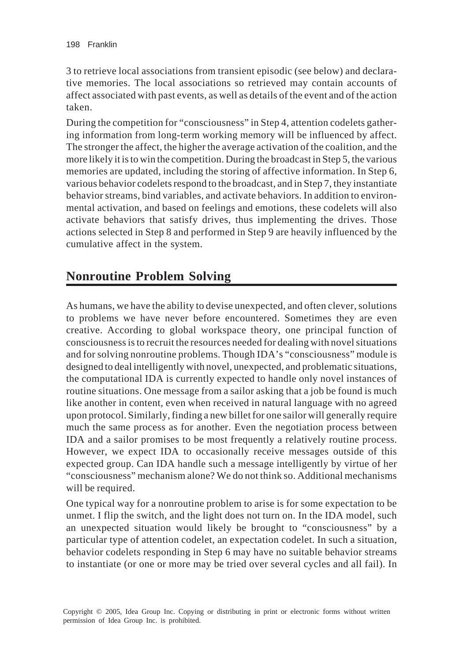3 to retrieve local associations from transient episodic (see below) and declarative memories. The local associations so retrieved may contain accounts of affect associated with past events, as well as details of the event and of the action taken.

During the competition for "consciousness" in Step 4, attention codelets gathering information from long-term working memory will be influenced by affect. The stronger the affect, the higher the average activation of the coalition, and the more likely it is to win the competition. During the broadcast in Step 5, the various memories are updated, including the storing of affective information. In Step 6, various behavior codelets respond to the broadcast, and in Step 7, they instantiate behavior streams, bind variables, and activate behaviors. In addition to environmental activation, and based on feelings and emotions, these codelets will also activate behaviors that satisfy drives, thus implementing the drives. Those actions selected in Step 8 and performed in Step 9 are heavily influenced by the cumulative affect in the system.

## **Nonroutine Problem Solving**

As humans, we have the ability to devise unexpected, and often clever, solutions to problems we have never before encountered. Sometimes they are even creative. According to global workspace theory, one principal function of consciousness is to recruit the resources needed for dealing with novel situations and for solving nonroutine problems. Though IDA's "consciousness" module is designed to deal intelligently with novel, unexpected, and problematic situations, the computational IDA is currently expected to handle only novel instances of routine situations. One message from a sailor asking that a job be found is much like another in content, even when received in natural language with no agreed upon protocol. Similarly, finding a new billet for one sailor will generally require much the same process as for another. Even the negotiation process between IDA and a sailor promises to be most frequently a relatively routine process. However, we expect IDA to occasionally receive messages outside of this expected group. Can IDA handle such a message intelligently by virtue of her "consciousness" mechanism alone? We do not think so. Additional mechanisms will be required.

One typical way for a nonroutine problem to arise is for some expectation to be unmet. I flip the switch, and the light does not turn on. In the IDA model, such an unexpected situation would likely be brought to "consciousness" by a particular type of attention codelet, an expectation codelet. In such a situation, behavior codelets responding in Step 6 may have no suitable behavior streams to instantiate (or one or more may be tried over several cycles and all fail). In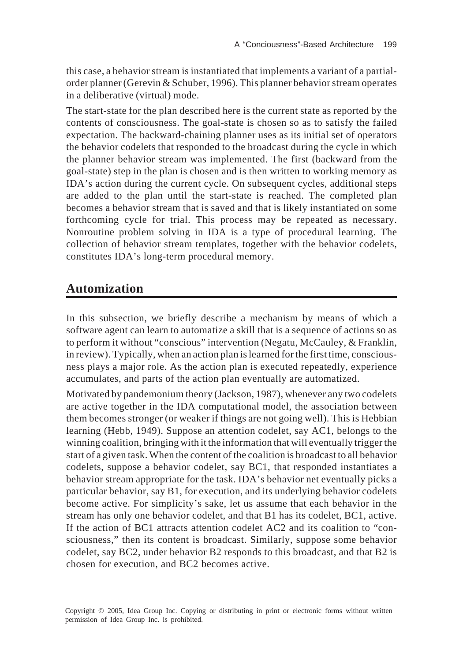this case, a behavior stream is instantiated that implements a variant of a partialorder planner (Gerevin & Schuber, 1996). This planner behavior stream operates in a deliberative (virtual) mode.

The start-state for the plan described here is the current state as reported by the contents of consciousness. The goal-state is chosen so as to satisfy the failed expectation. The backward-chaining planner uses as its initial set of operators the behavior codelets that responded to the broadcast during the cycle in which the planner behavior stream was implemented. The first (backward from the goal-state) step in the plan is chosen and is then written to working memory as IDA's action during the current cycle. On subsequent cycles, additional steps are added to the plan until the start-state is reached. The completed plan becomes a behavior stream that is saved and that is likely instantiated on some forthcoming cycle for trial. This process may be repeated as necessary. Nonroutine problem solving in IDA is a type of procedural learning. The collection of behavior stream templates, together with the behavior codelets, constitutes IDA's long-term procedural memory.

#### **Automization**

In this subsection, we briefly describe a mechanism by means of which a software agent can learn to automatize a skill that is a sequence of actions so as to perform it without "conscious" intervention (Negatu, McCauley, & Franklin, in review). Typically, when an action plan is learned for the first time, consciousness plays a major role. As the action plan is executed repeatedly, experience accumulates, and parts of the action plan eventually are automatized.

Motivated by pandemonium theory (Jackson, 1987), whenever any two codelets are active together in the IDA computational model, the association between them becomes stronger (or weaker if things are not going well). This is Hebbian learning (Hebb, 1949). Suppose an attention codelet, say AC1, belongs to the winning coalition, bringing with it the information that will eventually trigger the start of a given task. When the content of the coalition is broadcast to all behavior codelets, suppose a behavior codelet, say BC1, that responded instantiates a behavior stream appropriate for the task. IDA's behavior net eventually picks a particular behavior, say B1, for execution, and its underlying behavior codelets become active. For simplicity's sake, let us assume that each behavior in the stream has only one behavior codelet, and that B1 has its codelet, BC1, active. If the action of BC1 attracts attention codelet AC2 and its coalition to "consciousness," then its content is broadcast. Similarly, suppose some behavior codelet, say BC2, under behavior B2 responds to this broadcast, and that B2 is chosen for execution, and BC2 becomes active.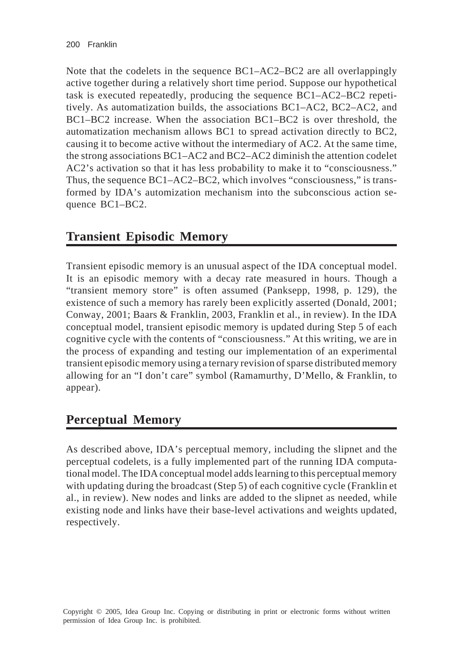Note that the codelets in the sequence BC1–AC2–BC2 are all overlappingly active together during a relatively short time period. Suppose our hypothetical task is executed repeatedly, producing the sequence BC1–AC2–BC2 repetitively. As automatization builds, the associations BC1–AC2, BC2–AC2, and BC1–BC2 increase. When the association BC1–BC2 is over threshold, the automatization mechanism allows BC1 to spread activation directly to BC2, causing it to become active without the intermediary of AC2. At the same time, the strong associations BC1–AC2 and BC2–AC2 diminish the attention codelet AC2's activation so that it has less probability to make it to "consciousness." Thus, the sequence BC1–AC2–BC2, which involves "consciousness," is transformed by IDA's automization mechanism into the subconscious action sequence BC1–BC2.

## **Transient Episodic Memory**

Transient episodic memory is an unusual aspect of the IDA conceptual model. It is an episodic memory with a decay rate measured in hours. Though a "transient memory store" is often assumed (Panksepp, 1998, p. 129), the existence of such a memory has rarely been explicitly asserted (Donald, 2001; Conway, 2001; Baars & Franklin, 2003, Franklin et al., in review). In the IDA conceptual model, transient episodic memory is updated during Step 5 of each cognitive cycle with the contents of "consciousness." At this writing, we are in the process of expanding and testing our implementation of an experimental transient episodic memory using a ternary revision of sparse distributed memory allowing for an "I don't care" symbol (Ramamurthy, D'Mello, & Franklin, to appear).

## **Perceptual Memory**

As described above, IDA's perceptual memory, including the slipnet and the perceptual codelets, is a fully implemented part of the running IDA computational model. The IDA conceptual model adds learning to this perceptual memory with updating during the broadcast (Step 5) of each cognitive cycle (Franklin et al., in review). New nodes and links are added to the slipnet as needed, while existing node and links have their base-level activations and weights updated, respectively.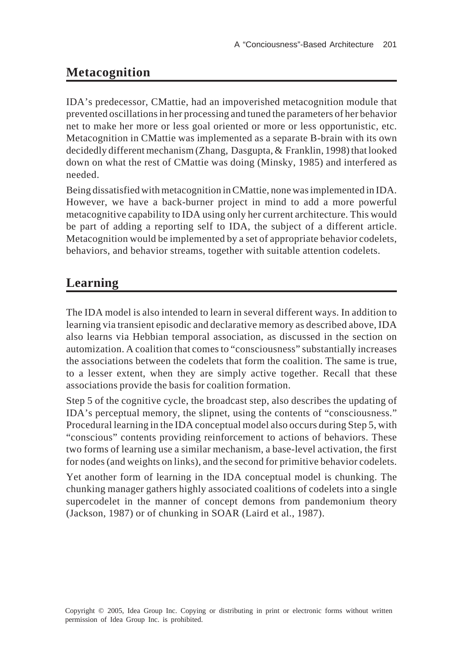#### **Metacognition**

IDA's predecessor, CMattie, had an impoverished metacognition module that prevented oscillations in her processing and tuned the parameters of her behavior net to make her more or less goal oriented or more or less opportunistic, etc. Metacognition in CMattie was implemented as a separate B-brain with its own decidedly different mechanism (Zhang, Dasgupta, & Franklin, 1998) that looked down on what the rest of CMattie was doing (Minsky, 1985) and interfered as needed.

Being dissatisfied with metacognition in CMattie, none was implemented in IDA. However, we have a back-burner project in mind to add a more powerful metacognitive capability to IDA using only her current architecture. This would be part of adding a reporting self to IDA, the subject of a different article. Metacognition would be implemented by a set of appropriate behavior codelets, behaviors, and behavior streams, together with suitable attention codelets.

## **Learning**

The IDA model is also intended to learn in several different ways. In addition to learning via transient episodic and declarative memory as described above, IDA also learns via Hebbian temporal association, as discussed in the section on automization. A coalition that comes to "consciousness" substantially increases the associations between the codelets that form the coalition. The same is true, to a lesser extent, when they are simply active together. Recall that these associations provide the basis for coalition formation.

Step 5 of the cognitive cycle, the broadcast step, also describes the updating of IDA's perceptual memory, the slipnet, using the contents of "consciousness." Procedural learning in the IDA conceptual model also occurs during Step 5, with "conscious" contents providing reinforcement to actions of behaviors. These two forms of learning use a similar mechanism, a base-level activation, the first for nodes (and weights on links), and the second for primitive behavior codelets.

Yet another form of learning in the IDA conceptual model is chunking. The chunking manager gathers highly associated coalitions of codelets into a single supercodelet in the manner of concept demons from pandemonium theory (Jackson, 1987) or of chunking in SOAR (Laird et al., 1987).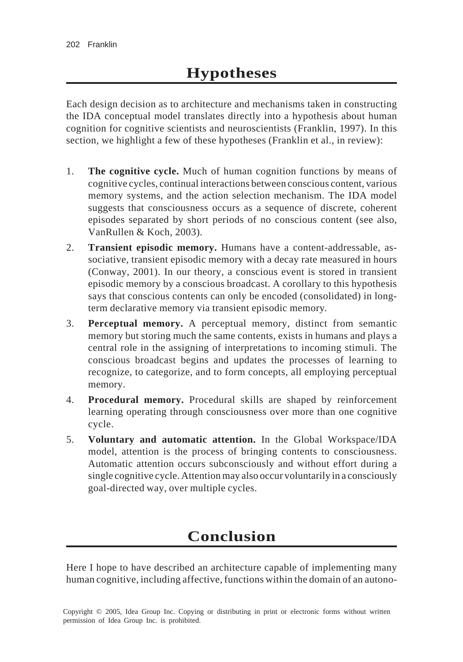Each design decision as to architecture and mechanisms taken in constructing the IDA conceptual model translates directly into a hypothesis about human cognition for cognitive scientists and neuroscientists (Franklin, 1997). In this section, we highlight a few of these hypotheses (Franklin et al., in review):

- 1. **The cognitive cycle.** Much of human cognition functions by means of cognitive cycles, continual interactions between conscious content, various memory systems, and the action selection mechanism. The IDA model suggests that consciousness occurs as a sequence of discrete, coherent episodes separated by short periods of no conscious content (see also, VanRullen & Koch, 2003).
- 2. **Transient episodic memory.** Humans have a content-addressable, associative, transient episodic memory with a decay rate measured in hours (Conway, 2001). In our theory, a conscious event is stored in transient episodic memory by a conscious broadcast. A corollary to this hypothesis says that conscious contents can only be encoded (consolidated) in longterm declarative memory via transient episodic memory*.*
- 3. **Perceptual memory.** A perceptual memory, distinct from semantic memory but storing much the same contents, exists in humans and plays a central role in the assigning of interpretations to incoming stimuli. The conscious broadcast begins and updates the processes of learning to recognize, to categorize, and to form concepts, all employing perceptual memory.
- 4. **Procedural memory.** Procedural skills are shaped by reinforcement learning operating through consciousness over more than one cognitive cycle.
- 5. **Voluntary and automatic attention.** In the Global Workspace/IDA model, attention is the process of bringing contents to consciousness. Automatic attention occurs subconsciously and without effort during a single cognitive cycle. Attention may also occur voluntarily in a consciously goal-directed way, over multiple cycles.

# **Conclusion**

Here I hope to have described an architecture capable of implementing many human cognitive, including affective, functions within the domain of an autono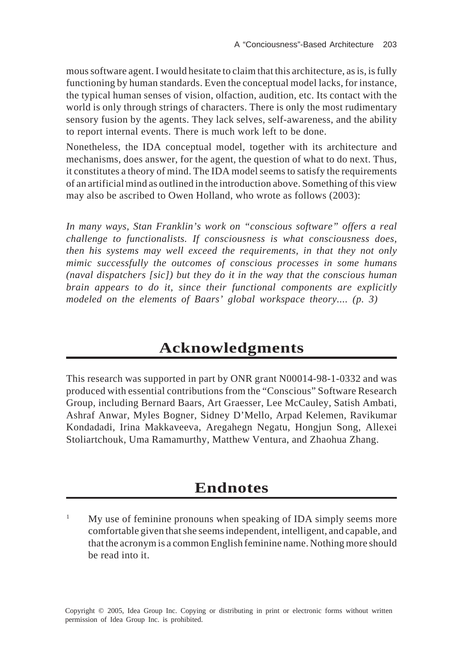mous software agent. I would hesitate to claim that this architecture, as is, is fully functioning by human standards. Even the conceptual model lacks, for instance, the typical human senses of vision, olfaction, audition, etc. Its contact with the world is only through strings of characters. There is only the most rudimentary sensory fusion by the agents. They lack selves, self-awareness, and the ability to report internal events. There is much work left to be done.

Nonetheless, the IDA conceptual model, together with its architecture and mechanisms, does answer, for the agent, the question of what to do next. Thus, it constitutes a theory of mind. The IDA model seems to satisfy the requirements of an artificial mind as outlined in the introduction above. Something of this view may also be ascribed to Owen Holland, who wrote as follows (2003):

*In many ways, Stan Franklin's work on "conscious software" offers a real challenge to functionalists. If consciousness is what consciousness does, then his systems may well exceed the requirements, in that they not only mimic successfully the outcomes of conscious processes in some humans (naval dispatchers [sic]) but they do it in the way that the conscious human brain appears to do it, since their functional components are explicitly modeled on the elements of Baars' global workspace theory.... (p. 3)*

# **Acknowledgments**

This research was supported in part by ONR grant N00014-98-1-0332 and was produced with essential contributions from the "Conscious" Software Research Group, including Bernard Baars, Art Graesser, Lee McCauley, Satish Ambati, Ashraf Anwar, Myles Bogner, Sidney D'Mello, Arpad Kelemen, Ravikumar Kondadadi, Irina Makkaveeva, Aregahegn Negatu, Hongjun Song, Allexei Stoliartchouk, Uma Ramamurthy, Matthew Ventura, and Zhaohua Zhang.

# **Endnotes**

My use of feminine pronouns when speaking of IDA simply seems more comfortable given that she seems independent, intelligent, and capable, and that the acronym is a common English feminine name. Nothing more should be read into it.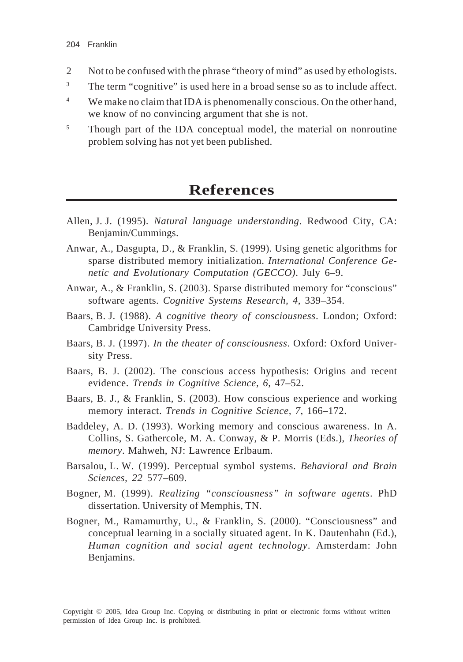- 2 Not to be confused with the phrase "theory of mind" as used by ethologists.
- <sup>3</sup> The term "cognitive" is used here in a broad sense so as to include affect.
- <sup>4</sup> We make no claim that IDA is phenomenally conscious. On the other hand, we know of no convincing argument that she is not.
- <sup>5</sup> Though part of the IDA conceptual model, the material on nonroutine problem solving has not yet been published.

### **References**

- Allen, J. J. (1995). *Natural language understanding*. Redwood City, CA: Benjamin/Cummings.
- Anwar, A., Dasgupta, D., & Franklin, S. (1999). Using genetic algorithms for sparse distributed memory initialization. *International Conference Genetic and Evolutionary Computation (GECCO)*. July 6–9.
- Anwar, A., & Franklin, S. (2003). Sparse distributed memory for "conscious" software agents. *Cognitive Systems Research, 4*, 339–354.
- Baars, B. J. (1988). *A cognitive theory of consciousness*. London; Oxford: Cambridge University Press.
- Baars, B. J. (1997). *In the theater of consciousness*. Oxford: Oxford University Press.
- Baars, B. J. (2002). The conscious access hypothesis: Origins and recent evidence. *Trends in Cognitive Science, 6*, 47–52.
- Baars, B. J., & Franklin, S. (2003). How conscious experience and working memory interact. *Trends in Cognitive Science, 7*, 166–172.
- Baddeley, A. D. (1993). Working memory and conscious awareness. In A. Collins, S. Gathercole, M. A. Conway, & P. Morris (Eds.), *Theories of memory*. Mahweh, NJ: Lawrence Erlbaum.
- Barsalou, L. W. (1999). Perceptual symbol systems. *Behavioral and Brain Sciences, 22* 577–609.
- Bogner, M. (1999). *Realizing "consciousness" in software agents*. PhD dissertation. University of Memphis, TN.
- Bogner, M., Ramamurthy, U., & Franklin, S. (2000). "Consciousness" and conceptual learning in a socially situated agent. In K. Dautenhahn (Ed.), *Human cognition and social agent technology*. Amsterdam: John Benjamins.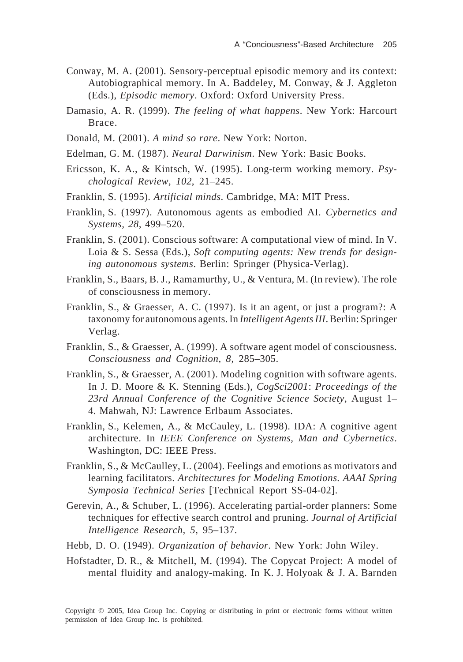- Conway, M. A. (2001). Sensory-perceptual episodic memory and its context: Autobiographical memory. In A. Baddeley, M. Conway, & J. Aggleton (Eds.), *Episodic memory*. Oxford: Oxford University Press.
- Damasio, A. R. (1999). *The feeling of what happens*. New York: Harcourt Brace.
- Donald, M. (2001). *A mind so rare*. New York: Norton.
- Edelman, G. M. (1987). *Neural Darwinism*. New York: Basic Books.
- Ericsson, K. A., & Kintsch, W. (1995). Long-term working memory. *Psychological Review, 102*, 21–245.
- Franklin, S. (1995). *Artificial minds*. Cambridge, MA: MIT Press.
- Franklin, S. (1997). Autonomous agents as embodied AI. *Cybernetics and Systems, 28*, 499–520.
- Franklin, S. (2001). Conscious software: A computational view of mind. In V. Loia & S. Sessa (Eds.), *Soft computing agents: New trends for designing autonomous systems*. Berlin: Springer (Physica-Verlag).
- Franklin, S., Baars, B. J., Ramamurthy, U., & Ventura, M. (In review). The role of consciousness in memory.
- Franklin, S., & Graesser, A. C. (1997). Is it an agent, or just a program?: A taxonomy for autonomous agents. In *Intelligent Agents III*. Berlin: Springer Verlag.
- Franklin, S., & Graesser, A. (1999). A software agent model of consciousness. *Consciousness and Cognition, 8*, 285–305.
- Franklin, S., & Graesser, A. (2001). Modeling cognition with software agents. In J. D. Moore & K. Stenning (Eds.), *CogSci2001*: *Proceedings of the 23rd Annual Conference of the Cognitive Science Society*, August 1– 4. Mahwah, NJ: Lawrence Erlbaum Associates.
- Franklin, S., Kelemen, A., & McCauley, L. (1998). IDA: A cognitive agent architecture. In *IEEE Conference on Systems, Man and Cybernetics*. Washington, DC: IEEE Press.
- Franklin, S., & McCaulley, L. (2004). Feelings and emotions as motivators and learning facilitators. *Architectures for Modeling Emotions. AAAI Spring Symposia Technical Series* [Technical Report SS-04-02].
- Gerevin, A., & Schuber, L. (1996). Accelerating partial-order planners: Some techniques for effective search control and pruning. *Journal of Artificial Intelligence Research, 5*, 95–137.
- Hebb, D. O. (1949). *Organization of behavior*. New York: John Wiley.
- Hofstadter, D. R., & Mitchell, M. (1994). The Copycat Project: A model of mental fluidity and analogy-making. In K. J. Holyoak & J. A. Barnden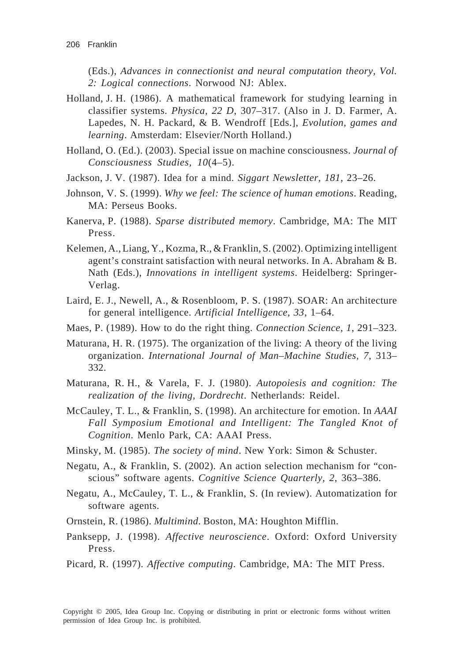(Eds.), *Advances in connectionist and neural computation theory, Vol. 2: Logical connections*. Norwood NJ: Ablex.

- Holland, J. H. (1986). A mathematical framework for studying learning in classifier systems. *Physica, 22 D*, 307–317. (Also in J. D. Farmer, A. Lapedes, N. H. Packard, & B. Wendroff [Eds.], *Evolution, games and learning*. Amsterdam: Elsevier/North Holland.)
- Holland, O. (Ed.). (2003). Special issue on machine consciousness. *Journal of Consciousness Studies, 10*(4–5).
- Jackson, J. V. (1987). Idea for a mind. *Siggart Newsletter, 181*, 23–26.
- Johnson, V. S. (1999). *Why we feel: The science of human emotions*. Reading, MA: Perseus Books.
- Kanerva, P. (1988). *Sparse distributed memory*. Cambridge, MA: The MIT Press.
- Kelemen, A., Liang, Y., Kozma, R., & Franklin, S. (2002). Optimizing intelligent agent's constraint satisfaction with neural networks. In A. Abraham & B. Nath (Eds.), *Innovations in intelligent systems*. Heidelberg: Springer-Verlag.
- Laird, E. J., Newell, A., & Rosenbloom, P. S. (1987). SOAR: An architecture for general intelligence. *Artificial Intelligence, 33*, 1–64.
- Maes, P. (1989). How to do the right thing. *Connection Science, 1*, 291–323.
- Maturana, H. R. (1975). The organization of the living: A theory of the living organization. *International Journal of Man–Machine Studies, 7*, 313– 332.
- Maturana, R. H., & Varela, F. J. (1980). *Autopoiesis and cognition: The realization of the living, Dordrecht*. Netherlands: Reidel.
- McCauley, T. L., & Franklin, S. (1998). An architecture for emotion. In *AAAI Fall Symposium Emotional and Intelligent: The Tangled Knot of Cognition*. Menlo Park, CA: AAAI Press.
- Minsky, M. (1985). *The society of mind*. New York: Simon & Schuster.
- Negatu, A., & Franklin, S. (2002). An action selection mechanism for "conscious" software agents. *Cognitive Science Quarterly, 2*, 363–386.
- Negatu, A., McCauley, T. L., & Franklin, S. (In review). Automatization for software agents.
- Ornstein, R. (1986). *Multimind*. Boston, MA: Houghton Mifflin.
- Panksepp, J. (1998). *Affective neuroscience*. Oxford: Oxford University Press.
- Picard, R. (1997). *Affective computing*. Cambridge, MA: The MIT Press.